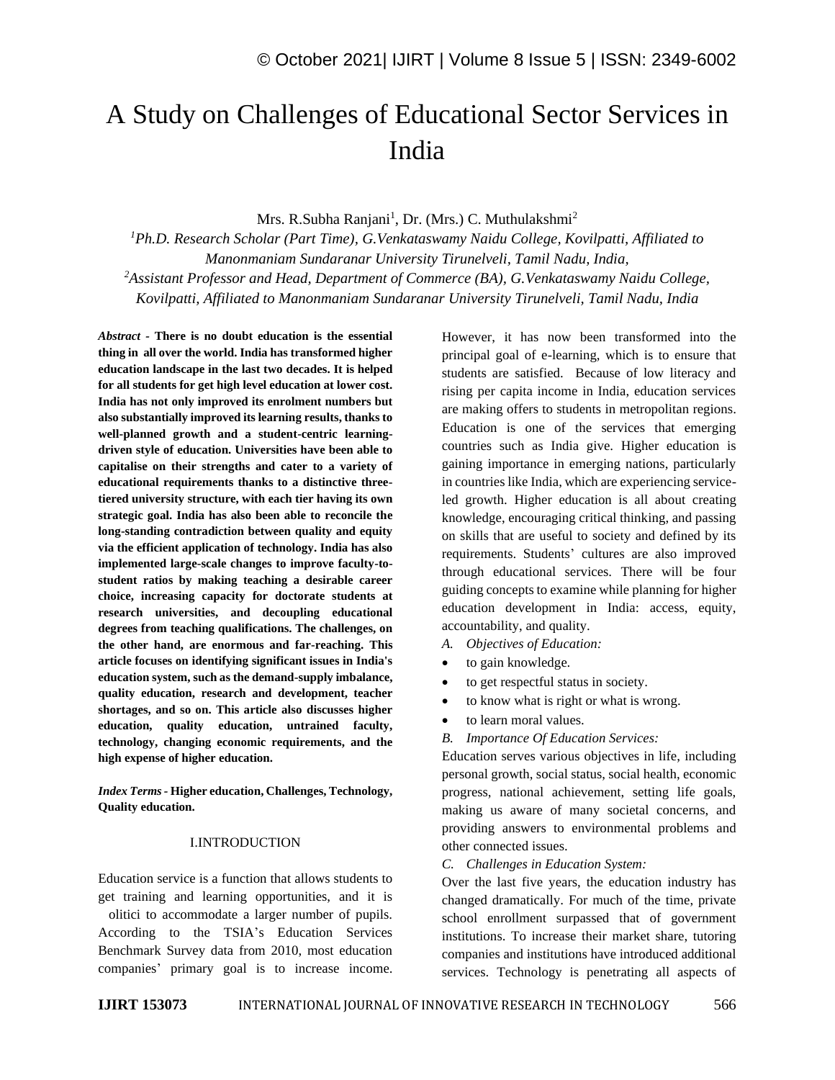# A Study on Challenges of Educational Sector Services in India

Mrs. R.Subha Ranjani<sup>1</sup>, Dr. (Mrs.) C. Muthulakshmi<sup>2</sup>

*<sup>1</sup>Ph.D. Research Scholar (Part Time), G.Venkataswamy Naidu College, Kovilpatti, Affiliated to Manonmaniam Sundaranar University Tirunelveli, Tamil Nadu, India, <sup>2</sup>Assistant Professor and Head, Department of Commerce (BA), G.Venkataswamy Naidu College, Kovilpatti, Affiliated to Manonmaniam Sundaranar University Tirunelveli, Tamil Nadu, India*

*Abstract -* **There is no doubt education is the essential thing in all over the world. India has transformed higher education landscape in the last two decades. It is helped for all students for get high level education at lower cost. India has not only improved its enrolment numbers but also substantially improved its learning results, thanks to well-planned growth and a student-centric learningdriven style of education. Universities have been able to capitalise on their strengths and cater to a variety of educational requirements thanks to a distinctive threetiered university structure, with each tier having its own strategic goal. India has also been able to reconcile the long-standing contradiction between quality and equity via the efficient application of technology. India has also implemented large-scale changes to improve faculty-tostudent ratios by making teaching a desirable career choice, increasing capacity for doctorate students at research universities, and decoupling educational degrees from teaching qualifications. The challenges, on the other hand, are enormous and far-reaching. This article focuses on identifying significant issues in India's education system, such as the demand-supply imbalance, quality education, research and development, teacher shortages, and so on. This article also discusses higher education, quality education, untrained faculty, technology, changing economic requirements, and the high expense of higher education.**

*Index Terms-* **Higher education, Challenges, Technology, Quality education.**

#### I.INTRODUCTION

Education service is a function that allows students to get training and learning opportunities, and it is olitici to accommodate a larger number of pupils. According to the TSIA's Education Services Benchmark Survey data from 2010, most education companies' primary goal is to increase income. However, it has now been transformed into the principal goal of e-learning, which is to ensure that students are satisfied. Because of low literacy and rising per capita income in India, education services are making offers to students in metropolitan regions. Education is one of the services that emerging countries such as India give. Higher education is gaining importance in emerging nations, particularly in countries like India, which are experiencing serviceled growth. Higher education is all about creating knowledge, encouraging critical thinking, and passing on skills that are useful to society and defined by its requirements. Students' cultures are also improved through educational services. There will be four guiding concepts to examine while planning for higher education development in India: access, equity, accountability, and quality.

- *A. Objectives of Education:*
- to gain knowledge.
- to get respectful status in society.
- to know what is right or what is wrong.
- to learn moral values.
- *B. Importance Of Education Services:*

Education serves various objectives in life, including personal growth, social status, social health, economic progress, national achievement, setting life goals, making us aware of many societal concerns, and providing answers to environmental problems and other connected issues.

*C. Challenges in Education System:*

Over the last five years, the education industry has changed dramatically. For much of the time, private school enrollment surpassed that of government institutions. To increase their market share, tutoring companies and institutions have introduced additional services. Technology is penetrating all aspects of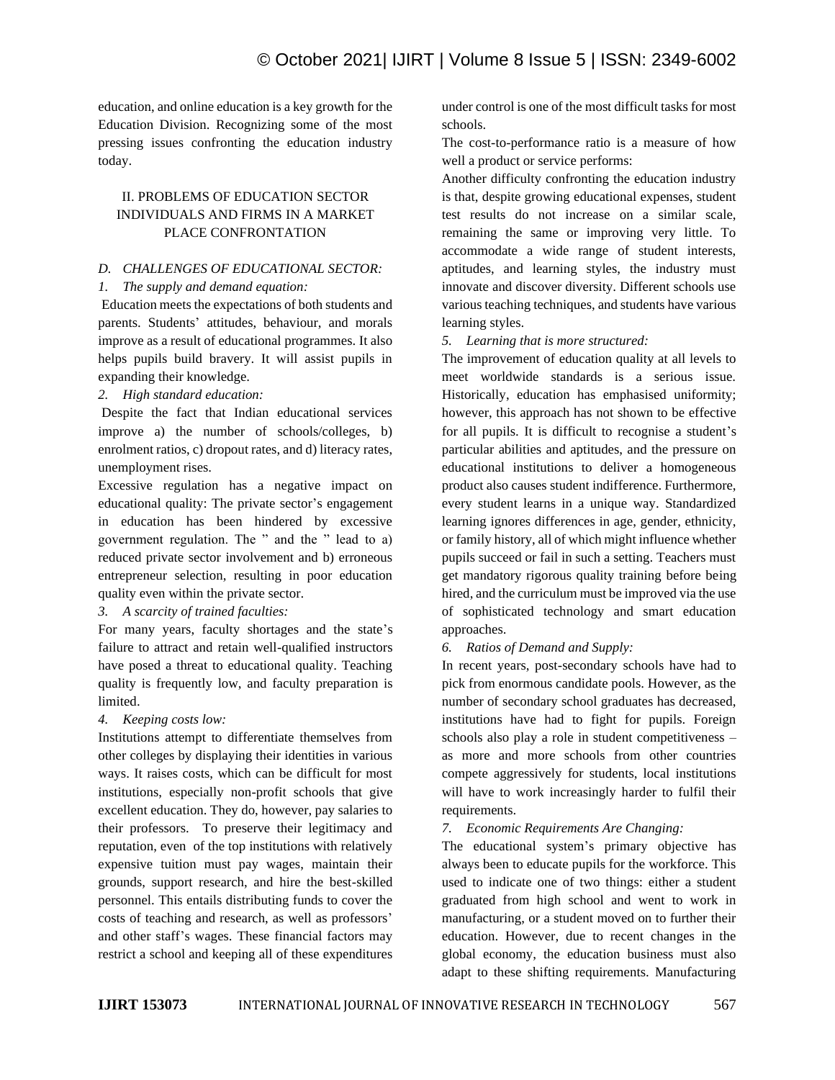education, and online education is a key growth for the Education Division. Recognizing some of the most pressing issues confronting the education industry today.

# II. PROBLEMS OF EDUCATION SECTOR INDIVIDUALS AND FIRMS IN A MARKET PLACE CONFRONTATION

#### *D. CHALLENGES OF EDUCATIONAL SECTOR:*

## *1. The supply and demand equation:*

Education meets the expectations of both students and parents. Students' attitudes, behaviour, and morals improve as a result of educational programmes. It also helps pupils build bravery. It will assist pupils in expanding their knowledge.

## *2. High standard education:*

Despite the fact that Indian educational services improve a) the number of schools/colleges, b) enrolment ratios, c) dropout rates, and d) literacy rates, unemployment rises.

Excessive regulation has a negative impact on educational quality: The private sector's engagement in education has been hindered by excessive government regulation. The " and the " lead to a) reduced private sector involvement and b) erroneous entrepreneur selection, resulting in poor education quality even within the private sector.

# *3. A scarcity of trained faculties:*

For many years, faculty shortages and the state's failure to attract and retain well-qualified instructors have posed a threat to educational quality. Teaching quality is frequently low, and faculty preparation is limited.

# *4. Keeping costs low:*

Institutions attempt to differentiate themselves from other colleges by displaying their identities in various ways. It raises costs, which can be difficult for most institutions, especially non-profit schools that give excellent education. They do, however, pay salaries to their professors. To preserve their legitimacy and reputation, even of the top institutions with relatively expensive tuition must pay wages, maintain their grounds, support research, and hire the best-skilled personnel. This entails distributing funds to cover the costs of teaching and research, as well as professors' and other staff's wages. These financial factors may restrict a school and keeping all of these expenditures under control is one of the most difficult tasks for most schools.

The cost-to-performance ratio is a measure of how well a product or service performs:

Another difficulty confronting the education industry is that, despite growing educational expenses, student test results do not increase on a similar scale, remaining the same or improving very little. To accommodate a wide range of student interests, aptitudes, and learning styles, the industry must innovate and discover diversity. Different schools use various teaching techniques, and students have various learning styles.

*5. Learning that is more structured:* 

The improvement of education quality at all levels to meet worldwide standards is a serious issue. Historically, education has emphasised uniformity; however, this approach has not shown to be effective for all pupils. It is difficult to recognise a student's particular abilities and aptitudes, and the pressure on educational institutions to deliver a homogeneous product also causes student indifference. Furthermore, every student learns in a unique way. Standardized learning ignores differences in age, gender, ethnicity, or family history, all of which might influence whether pupils succeed or fail in such a setting. Teachers must get mandatory rigorous quality training before being hired, and the curriculum must be improved via the use of sophisticated technology and smart education approaches.

# *6. Ratios of Demand and Supply:*

In recent years, post-secondary schools have had to pick from enormous candidate pools. However, as the number of secondary school graduates has decreased, institutions have had to fight for pupils. Foreign schools also play a role in student competitiveness – as more and more schools from other countries compete aggressively for students, local institutions will have to work increasingly harder to fulfil their requirements.

# *7. Economic Requirements Are Changing:*

The educational system's primary objective has always been to educate pupils for the workforce. This used to indicate one of two things: either a student graduated from high school and went to work in manufacturing, or a student moved on to further their education. However, due to recent changes in the global economy, the education business must also adapt to these shifting requirements. Manufacturing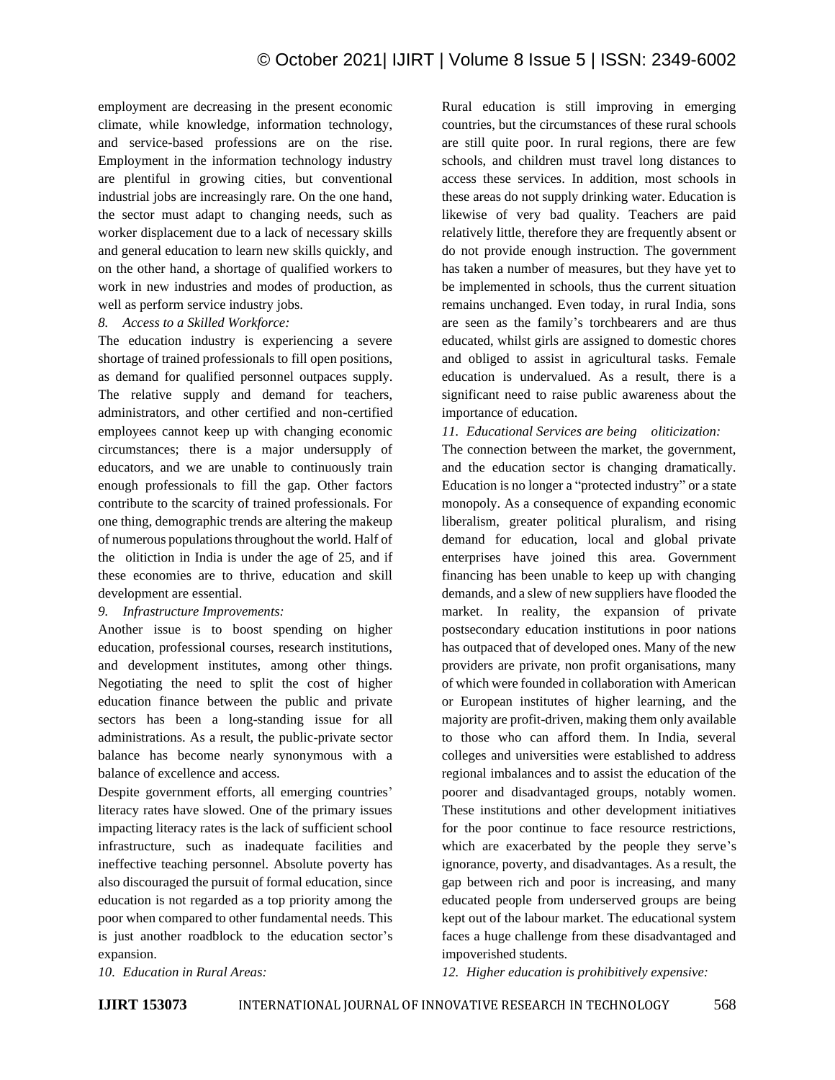employment are decreasing in the present economic climate, while knowledge, information technology, and service-based professions are on the rise. Employment in the information technology industry are plentiful in growing cities, but conventional industrial jobs are increasingly rare. On the one hand, the sector must adapt to changing needs, such as worker displacement due to a lack of necessary skills and general education to learn new skills quickly, and on the other hand, a shortage of qualified workers to work in new industries and modes of production, as well as perform service industry jobs.

#### *8. Access to a Skilled Workforce:*

The education industry is experiencing a severe shortage of trained professionals to fill open positions, as demand for qualified personnel outpaces supply. The relative supply and demand for teachers, administrators, and other certified and non-certified employees cannot keep up with changing economic circumstances; there is a major undersupply of educators, and we are unable to continuously train enough professionals to fill the gap. Other factors contribute to the scarcity of trained professionals. For one thing, demographic trends are altering the makeup of numerous populations throughout the world. Half of the olitiction in India is under the age of 25, and if these economies are to thrive, education and skill development are essential.

#### *9. Infrastructure Improvements:*

Another issue is to boost spending on higher education, professional courses, research institutions, and development institutes, among other things. Negotiating the need to split the cost of higher education finance between the public and private sectors has been a long-standing issue for all administrations. As a result, the public-private sector balance has become nearly synonymous with a balance of excellence and access.

Despite government efforts, all emerging countries' literacy rates have slowed. One of the primary issues impacting literacy rates is the lack of sufficient school infrastructure, such as inadequate facilities and ineffective teaching personnel. Absolute poverty has also discouraged the pursuit of formal education, since education is not regarded as a top priority among the poor when compared to other fundamental needs. This is just another roadblock to the education sector's expansion.

Rural education is still improving in emerging countries, but the circumstances of these rural schools are still quite poor. In rural regions, there are few schools, and children must travel long distances to access these services. In addition, most schools in these areas do not supply drinking water. Education is likewise of very bad quality. Teachers are paid relatively little, therefore they are frequently absent or do not provide enough instruction. The government has taken a number of measures, but they have yet to be implemented in schools, thus the current situation remains unchanged. Even today, in rural India, sons are seen as the family's torchbearers and are thus educated, whilst girls are assigned to domestic chores and obliged to assist in agricultural tasks. Female education is undervalued. As a result, there is a significant need to raise public awareness about the importance of education.

#### *11. Educational Services are being oliticization:*

The connection between the market, the government, and the education sector is changing dramatically. Education is no longer a "protected industry" or a state monopoly. As a consequence of expanding economic liberalism, greater political pluralism, and rising demand for education, local and global private enterprises have joined this area. Government financing has been unable to keep up with changing demands, and a slew of new suppliers have flooded the market. In reality, the expansion of private postsecondary education institutions in poor nations has outpaced that of developed ones. Many of the new providers are private, non profit organisations, many of which were founded in collaboration with American or European institutes of higher learning, and the majority are profit-driven, making them only available to those who can afford them. In India, several colleges and universities were established to address regional imbalances and to assist the education of the poorer and disadvantaged groups, notably women. These institutions and other development initiatives for the poor continue to face resource restrictions, which are exacerbated by the people they serve's ignorance, poverty, and disadvantages. As a result, the gap between rich and poor is increasing, and many educated people from underserved groups are being kept out of the labour market. The educational system faces a huge challenge from these disadvantaged and impoverished students.

*10. Education in Rural Areas:*

*12. Higher education is prohibitively expensive:*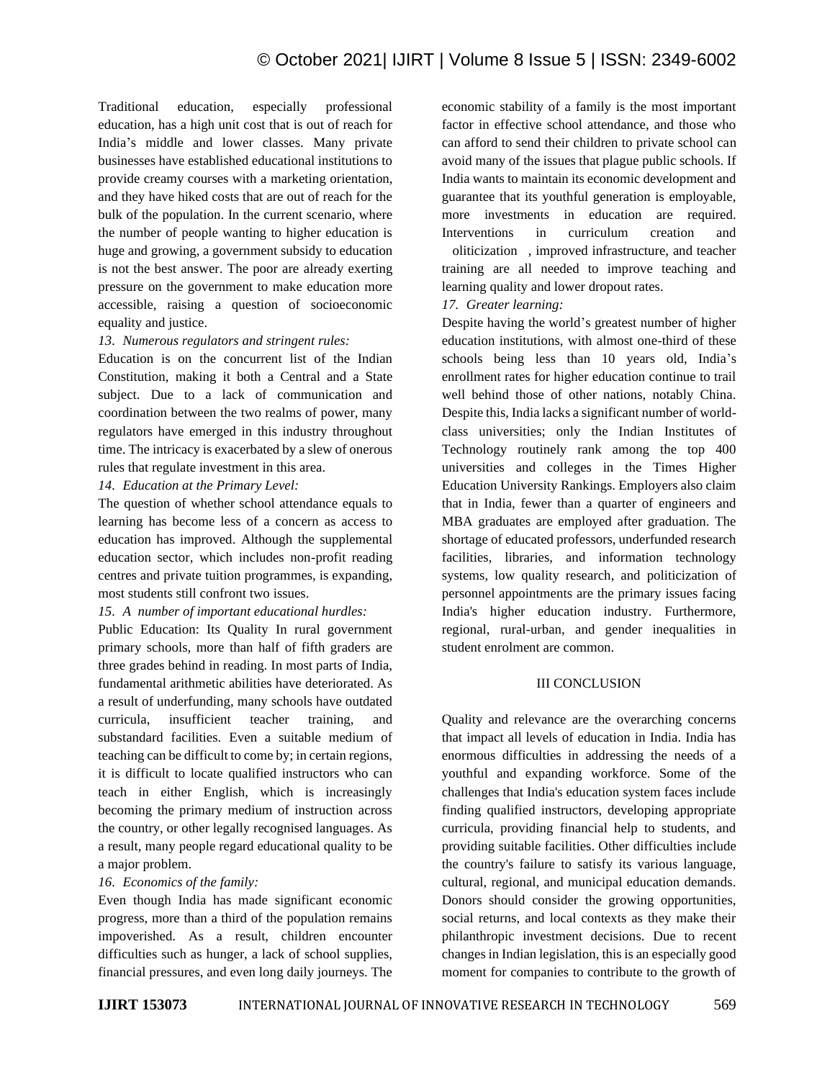Traditional education, especially professional education, has a high unit cost that is out of reach for India's middle and lower classes. Many private businesses have established educational institutions to provide creamy courses with a marketing orientation, and they have hiked costs that are out of reach for the bulk of the population. In the current scenario, where the number of people wanting to higher education is huge and growing, a government subsidy to education is not the best answer. The poor are already exerting pressure on the government to make education more accessible, raising a question of socioeconomic equality and justice.

#### *13. Numerous regulators and stringent rules:*

Education is on the concurrent list of the Indian Constitution, making it both a Central and a State subject. Due to a lack of communication and coordination between the two realms of power, many regulators have emerged in this industry throughout time. The intricacy is exacerbated by a slew of onerous rules that regulate investment in this area.

#### *14. Education at the Primary Level:*

The question of whether school attendance equals to learning has become less of a concern as access to education has improved. Although the supplemental education sector, which includes non-profit reading centres and private tuition programmes, is expanding, most students still confront two issues.

#### *15. A number of important educational hurdles:*

Public Education: Its Quality In rural government primary schools, more than half of fifth graders are three grades behind in reading. In most parts of India, fundamental arithmetic abilities have deteriorated. As a result of underfunding, many schools have outdated curricula, insufficient teacher training, and substandard facilities. Even a suitable medium of teaching can be difficult to come by; in certain regions, it is difficult to locate qualified instructors who can teach in either English, which is increasingly becoming the primary medium of instruction across the country, or other legally recognised languages. As a result, many people regard educational quality to be a major problem.

#### *16. Economics of the family:*

Even though India has made significant economic progress, more than a third of the population remains impoverished. As a result, children encounter difficulties such as hunger, a lack of school supplies, financial pressures, and even long daily journeys. The economic stability of a family is the most important factor in effective school attendance, and those who can afford to send their children to private school can avoid many of the issues that plague public schools. If India wants to maintain its economic development and guarantee that its youthful generation is employable, more investments in education are required. Interventions in curriculum creation and oliticization , improved infrastructure, and teacher training are all needed to improve teaching and learning quality and lower dropout rates.

#### *17. Greater learning:*

Despite having the world's greatest number of higher education institutions, with almost one-third of these schools being less than 10 years old, India's enrollment rates for higher education continue to trail well behind those of other nations, notably China. Despite this, India lacks a significant number of worldclass universities; only the Indian Institutes of Technology routinely rank among the top 400 universities and colleges in the Times Higher Education University Rankings. Employers also claim that in India, fewer than a quarter of engineers and MBA graduates are employed after graduation. The shortage of educated professors, underfunded research facilities, libraries, and information technology systems, low quality research, and politicization of personnel appointments are the primary issues facing India's higher education industry. Furthermore, regional, rural-urban, and gender inequalities in student enrolment are common.

#### III CONCLUSION

Quality and relevance are the overarching concerns that impact all levels of education in India. India has enormous difficulties in addressing the needs of a youthful and expanding workforce. Some of the challenges that India's education system faces include finding qualified instructors, developing appropriate curricula, providing financial help to students, and providing suitable facilities. Other difficulties include the country's failure to satisfy its various language, cultural, regional, and municipal education demands. Donors should consider the growing opportunities, social returns, and local contexts as they make their philanthropic investment decisions. Due to recent changes in Indian legislation, this is an especially good moment for companies to contribute to the growth of